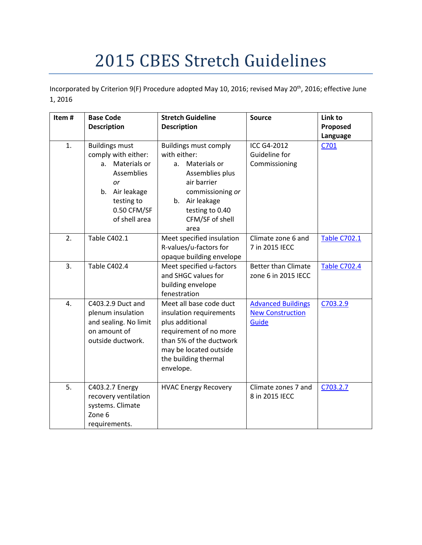# 2015 CBES Stretch Guidelines

Incorporated by Criterion 9(F) Procedure adopted May 10, 2016; revised May 20<sup>th</sup>, 2016; effective June 1, 2016

| Item# | <b>Base Code</b><br><b>Description</b>                                                                                                                           | <b>Stretch Guideline</b><br><b>Description</b>                                                                                                                                            | <b>Source</b>                                                 | Link to<br>Proposed |
|-------|------------------------------------------------------------------------------------------------------------------------------------------------------------------|-------------------------------------------------------------------------------------------------------------------------------------------------------------------------------------------|---------------------------------------------------------------|---------------------|
| 1.    | <b>Buildings must</b><br>comply with either:<br>Materials or<br>a.<br><b>Assemblies</b><br>or<br>Air leakage<br>b.<br>testing to<br>0.50 CFM/SF<br>of shell area | <b>Buildings must comply</b><br>with either:<br>Materials or<br>a.<br>Assemblies plus<br>air barrier<br>commissioning or<br>b. Air leakage<br>testing to 0.40<br>CFM/SF of shell<br>area  | ICC G4-2012<br>Guideline for<br>Commissioning                 | Language<br>C701    |
| 2.    | <b>Table C402.1</b>                                                                                                                                              | Meet specified insulation<br>R-values/u-factors for<br>opaque building envelope                                                                                                           | Climate zone 6 and<br>7 in 2015 IECC                          | <b>Table C702.1</b> |
| 3.    | Table C402.4                                                                                                                                                     | Meet specified u-factors<br>and SHGC values for<br>building envelope<br>fenestration                                                                                                      | <b>Better than Climate</b><br>zone 6 in 2015 IECC             | <b>Table C702.4</b> |
| 4.    | C403.2.9 Duct and<br>plenum insulation<br>and sealing. No limit<br>on amount of<br>outside ductwork.                                                             | Meet all base code duct<br>insulation requirements<br>plus additional<br>requirement of no more<br>than 5% of the ductwork<br>may be located outside<br>the building thermal<br>envelope. | <b>Advanced Buildings</b><br><b>New Construction</b><br>Guide | C703.2.9            |
| 5.    | C403.2.7 Energy<br>recovery ventilation<br>systems. Climate<br>Zone 6<br>requirements.                                                                           | <b>HVAC Energy Recovery</b>                                                                                                                                                               | Climate zones 7 and<br>8 in 2015 IECC                         | C703.2.7            |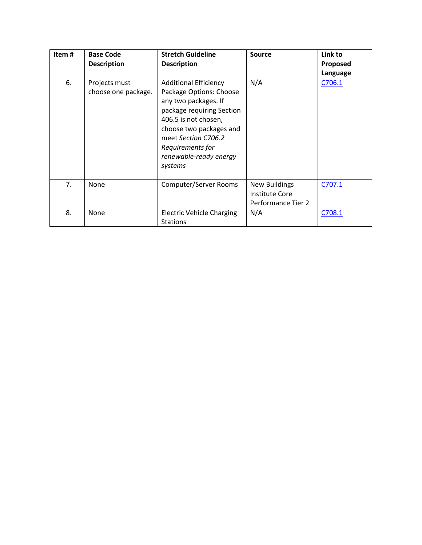| Item# | <b>Base Code</b>                     | <b>Stretch Guideline</b>                                                                                                                                                                                                                        | <b>Source</b>                                                | Link to  |
|-------|--------------------------------------|-------------------------------------------------------------------------------------------------------------------------------------------------------------------------------------------------------------------------------------------------|--------------------------------------------------------------|----------|
|       | <b>Description</b>                   | <b>Description</b>                                                                                                                                                                                                                              |                                                              | Proposed |
|       |                                      |                                                                                                                                                                                                                                                 |                                                              | Language |
| 6.    | Projects must<br>choose one package. | <b>Additional Efficiency</b><br>Package Options: Choose<br>any two packages. If<br>package requiring Section<br>406.5 is not chosen,<br>choose two packages and<br>meet Section C706.2<br>Requirements for<br>renewable-ready energy<br>systems | N/A                                                          | C706.1   |
| 7.    | None                                 |                                                                                                                                                                                                                                                 |                                                              |          |
|       |                                      | Computer/Server Rooms                                                                                                                                                                                                                           | <b>New Buildings</b><br>Institute Core<br>Performance Tier 2 | C707.1   |
| 8.    | None                                 | <b>Electric Vehicle Charging</b><br><b>Stations</b>                                                                                                                                                                                             | N/A                                                          | C708.1   |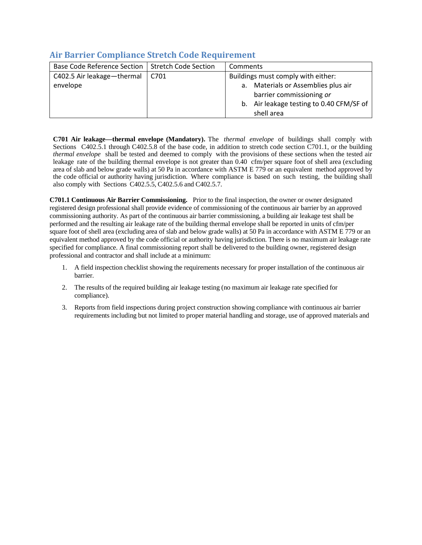| <b>Base Code Reference Section</b> | <b>Stretch Code Section</b> | Comments                                 |
|------------------------------------|-----------------------------|------------------------------------------|
| C402.5 Air leakage-thermal         | C701                        | Buildings must comply with either:       |
| envelope                           |                             | a. Materials or Assemblies plus air      |
|                                    |                             | barrier commissioning or                 |
|                                    |                             | b. Air leakage testing to 0.40 CFM/SF of |
|                                    |                             | shell area                               |

## <span id="page-2-0"></span>**Air Barrier Compliance Stretch Code Requirement**

**C701 Air leakage—thermal envelope (Mandatory).** The *thermal envelope* of buildings shall comply with Sections C402.5.1 through C402.5.8 of the base code, in addition to stretch code section C701.1, or the building *thermal envelope* shall be tested and deemed to comply with the provisions of these sections when the tested air leakage rate of the building thermal envelope is not greater than 0.40 cfm/per square foot of shell area (excluding area of slab and below grade walls) at 50 Pa in accordance with ASTM E 779 or an equivalent method approved by the code official or authority having jurisdiction. Where compliance is based on such testing, the building shall also comply with Sections C402.5.5, C402.5.6 and C402.5.7.

**C701.1 Continuous Air Barrier Commissioning.** Prior to the final inspection, the owner or owner designated registered design professional shall provide evidence of commissioning of the continuous air barrier by an approved commissioning authority. As part of the continuous air barrier commissioning, a building air leakage test shall be performed and the resulting air leakage rate of the building thermal envelope shall be reported in units of cfm/per square foot of shell area (excluding area of slab and below grade walls) at 50 Pa in accordance with ASTM E 779 or an equivalent method approved by the code official or authority having jurisdiction. There is no maximum air leakage rate specified for compliance. A final commissioning report shall be delivered to the building owner, registered design professional and contractor and shall include at a minimum:

- 1. A field inspection checklist showing the requirements necessary for proper installation of the continuous air barrier.
- 2. The results of the required building air leakage testing (no maximum air leakage rate specified for compliance).
- 3. Reports from field inspections during project construction showing compliance with continuous air barrier requirements including but not limited to proper material handling and storage, use of approved materials and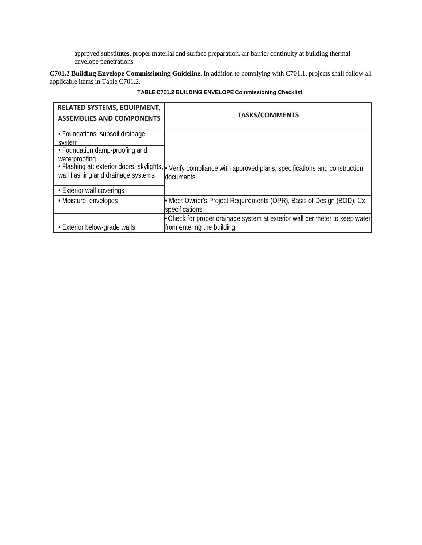approved substitutes, proper material and surface preparation, air barrier continuity at building thermal envelope penetrations

**C701.2 Building Envelope Commissioning Guideline**. In addition to complying with C701.1, projects shall follow all applicable items in Table C701.2.

| <b>RELATED SYSTEMS, EQUIPMENT,</b><br><b>ASSEMBLIES AND COMPONENTS</b>                                                                          | <b>TASKS/COMMENTS</b>                                                                                      |  |
|-------------------------------------------------------------------------------------------------------------------------------------------------|------------------------------------------------------------------------------------------------------------|--|
| • Foundations subsoil drainage                                                                                                                  |                                                                                                            |  |
| system<br>• Foundation damp-proofing and<br>waterproofing<br>• Flashing at: exterior doors, skylights,  .<br>wall flashing and drainage systems | Verify compliance with approved plans, specifications and construction<br>documents.                       |  |
| • Exterior wall coverings                                                                                                                       |                                                                                                            |  |
| • Moisture envelopes                                                                                                                            | Meet Owner's Project Requirements (OPR), Basis of Design (BOD), Cx<br>specifications.                      |  |
| • Exterior below-grade walls                                                                                                                    | • Check for proper drainage system at exterior wall perimeter to keep water<br>from entering the building. |  |

#### **TABLE C701.2 BUILDING ENVELOPE Commissioning Checklist**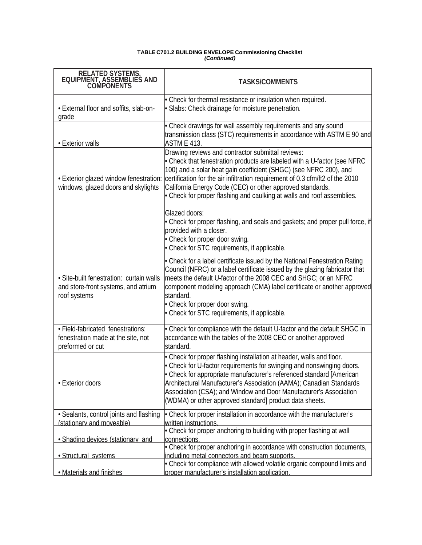#### **TABLE C701.2 BUILDING ENVELOPE Commissioning Checklist**  *(Continued)*

| RELATED SYSTEMS,<br>EQUIPMENT, ASSEMBLIES AND<br>COMPONENTS                                     | <b>TASKS/COMMENTS</b>                                                                                                                                                                                                                                                                                                                                                                                                  |
|-------------------------------------------------------------------------------------------------|------------------------------------------------------------------------------------------------------------------------------------------------------------------------------------------------------------------------------------------------------------------------------------------------------------------------------------------------------------------------------------------------------------------------|
| • External floor and soffits, slab-on-<br>grade                                                 | Check for thermal resistance or insulation when required.<br>Slabs: Check drainage for moisture penetration.                                                                                                                                                                                                                                                                                                           |
| • Exterior walls                                                                                | Check drawings for wall assembly requirements and any sound<br>transmission class (STC) requirements in accordance with ASTM E 90 and<br><b>ASTM E 413.</b>                                                                                                                                                                                                                                                            |
| . Exterior glazed window fenestration:<br>windows, glazed doors and skylights                   | Drawing reviews and contractor submittal reviews:<br>Check that fenestration products are labeled with a U-factor (see NFRC<br>100) and a solar heat gain coefficient (SHGC) (see NFRC 200), and<br>certification for the air infiltration requirement of 0.3 cfm/ft2 of the 2010<br>California Energy Code (CEC) or other approved standards.<br>Check for proper flashing and caulking at walls and roof assemblies. |
|                                                                                                 | Glazed doors:<br>Check for proper flashing, and seals and gaskets; and proper pull force, if<br>provided with a closer.<br>Check for proper door swing.<br>Check for STC requirements, if applicable.                                                                                                                                                                                                                  |
| · Site-built fenestration: curtain walls<br>and store-front systems, and atrium<br>roof systems | Check for a label certificate issued by the National Fenestration Rating<br>Council (NFRC) or a label certificate issued by the glazing fabricator that<br>meets the default U-factor of the 2008 CEC and SHGC; or an NFRC<br>component modeling approach (CMA) label certificate or another approved<br>standard.<br>Check for proper door swing.<br>Check for STC requirements, if applicable.                       |
| · Field-fabricated fenestrations:<br>fenestration made at the site, not<br>preformed or cut     | Check for compliance with the default U-factor and the default SHGC in<br>accordance with the tables of the 2008 CEC or another approved<br>standard.                                                                                                                                                                                                                                                                  |
| • Exterior doors                                                                                | Check for proper flashing installation at header, walls and floor.<br>Check for U-factor requirements for swinging and nonswinging doors.<br>Check for appropriate manufacturer's referenced standard [American<br>Architectural Manufacturer's Association (AAMA); Canadian Standards<br>Association (CSA); and Window and Door Manufacturer's Association<br>(WDMA) or other approved standard] product data sheets. |
| · Sealants, control joints and flashing                                                         | Check for proper installation in accordance with the manufacturer's                                                                                                                                                                                                                                                                                                                                                    |
| (stationary and moveable)                                                                       | written instructions.<br>Check for proper anchoring to building with proper flashing at wall                                                                                                                                                                                                                                                                                                                           |
| • Shading devices (stationary and                                                               | connections.                                                                                                                                                                                                                                                                                                                                                                                                           |
|                                                                                                 | Check for proper anchoring in accordance with construction documents,                                                                                                                                                                                                                                                                                                                                                  |
| · Structural systems                                                                            | including metal connectors and beam supports<br>• Check for compliance with allowed volatile organic compound limits and                                                                                                                                                                                                                                                                                               |
| . Materials and finishes                                                                        | proper manufacturer's installation application.                                                                                                                                                                                                                                                                                                                                                                        |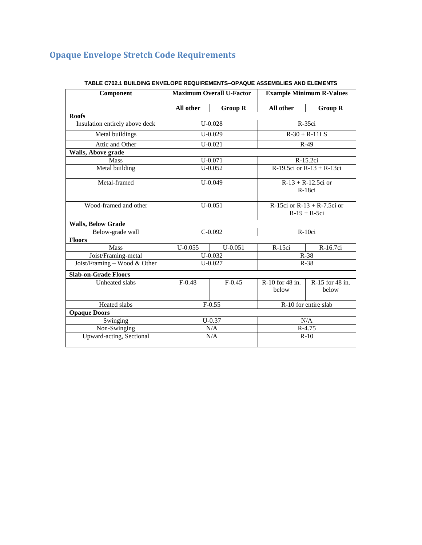## <span id="page-5-0"></span>**Opaque Envelope Stretch Code Requirements**

<span id="page-5-1"></span>

| Component                      | <b>Maximum Overall U-Factor</b> |                | <b>Example Minimum R-Values</b>               |                                 |  |
|--------------------------------|---------------------------------|----------------|-----------------------------------------------|---------------------------------|--|
|                                | All other                       | <b>Group R</b> | All other                                     | <b>Group R</b>                  |  |
| <b>Roofs</b>                   |                                 |                |                                               |                                 |  |
| Insulation entirely above deck |                                 | $U-0.028$      |                                               | R-35ci                          |  |
| Metal buildings                |                                 | $U-0.029$      | $R-30 + R-11LS$                               |                                 |  |
| Attic and Other                |                                 | $U - 0.021$    | $R-49$                                        |                                 |  |
| Walls, Above grade             |                                 |                |                                               |                                 |  |
| Mass                           |                                 | $U - 0.071$    | R-15.2ci                                      |                                 |  |
| Metal building                 |                                 | $U - 0.052$    |                                               | R-19.5 $ci$ or R-13 + R-13 $ci$ |  |
| Metal-framed                   | $U-0.049$                       |                | $R-13 + R-12.5ci$ or<br>$R-18ci$              |                                 |  |
| Wood-framed and other          | $U - 0.051$                     |                | R-15ci or R-13 + R-7.5ci or<br>$R-19 + R-5ci$ |                                 |  |
| <b>Walls, Below Grade</b>      |                                 |                |                                               |                                 |  |
| Below-grade wall               |                                 | $C-0.092$      | R-10ci                                        |                                 |  |
| <b>Floors</b>                  |                                 |                |                                               |                                 |  |
| <b>Mass</b>                    | $U - 0.055$                     | $U - 0.051$    | $R-15ci$                                      | R-16.7ci                        |  |
| Joist/Framing-metal            |                                 | $U-0.032$      | $R-38$                                        |                                 |  |
| Joist/Framing - Wood & Other   |                                 | $U - 0.027$    | $R-38$                                        |                                 |  |
| <b>Slab-on-Grade Floors</b>    |                                 |                |                                               |                                 |  |
| Unheated slabs                 | $F-0.48$                        | $F-0.45$       | R-10 for 48 in.<br>below                      | R-15 for 48 in.<br>below        |  |
| Heated slabs                   | $F-0.55$                        |                | R-10 for entire slab                          |                                 |  |
| <b>Opaque Doors</b>            |                                 |                |                                               |                                 |  |
| Swinging                       | $U - 0.37$                      |                | N/A                                           |                                 |  |
| Non-Swinging                   | N/A                             |                | R-4.75                                        |                                 |  |
| Upward-acting, Sectional       | N/A                             |                | $R-10$                                        |                                 |  |

#### **TABLE C702.1 BUILDING ENVELOPE REQUIREMENTS–OPAQUE ASSEMBLIES AND ELEMENTS**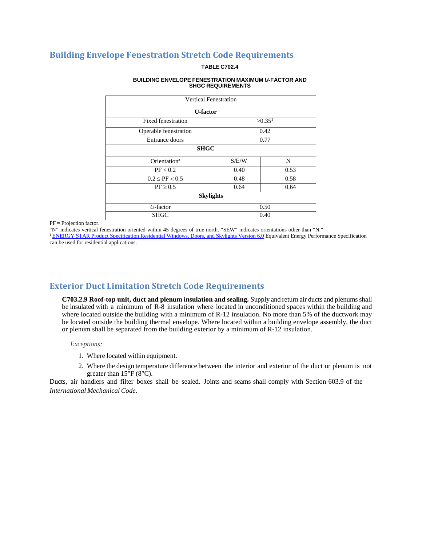## **Building Envelope Fenestration Stretch Code Requirements**

#### **TABLE C702.4**

#### **BUILDING ENVELOPE FENESTRATION MAXIMUM** *U***-FACTOR AND SHGC REQUIREMENTS**

|                                          | <b>Vertical Fenestration</b> |      |  |  |  |  |
|------------------------------------------|------------------------------|------|--|--|--|--|
| <b>U-factor</b>                          |                              |      |  |  |  |  |
| >0.35 <sup>1</sup><br>Fixed fenestration |                              |      |  |  |  |  |
| 0.42<br>Operable fenestration            |                              |      |  |  |  |  |
| Entrance doors                           | 0.77                         |      |  |  |  |  |
| <b>SHGC</b>                              |                              |      |  |  |  |  |
| Orientation <sup>a</sup>                 | S/E/W                        | N    |  |  |  |  |
| PF < 0.2                                 | 0.40                         | 0.53 |  |  |  |  |
| $0.2 \le PF < 0.5$                       | 0.48                         | 0.58 |  |  |  |  |
| $PF \geq 0.5$                            | 0.64<br>0.64                 |      |  |  |  |  |
|                                          | <b>Skylights</b>             |      |  |  |  |  |
| $U$ -factor                              | 0.50                         |      |  |  |  |  |
| <b>SHGC</b>                              | 0.40                         |      |  |  |  |  |

PF = Projection factor.

"N" indicates vertical fenestration oriented within 45 degrees of true north. "SEW" indicates orientations other than "N."

[1 ENERGY STAR Product Specification Residential Windows, Doors, and Skylights Version 6.0](https://www.energystar.gov/sites/default/files/ES_Final_V6_Residential_WDS_Spec.pdf) Equivalent Energy Performance Specification can be used for residential applications.

## <span id="page-6-0"></span>**Exterior Duct Limitation Stretch Code Requirements**

**C703.2.9 Roof-top unit, duct and plenum insulation and sealing.** Supply and return air ducts and plenumsshall be insulated with a minimum of R-8 insulation where located in unconditioned spaces within the building and where located outside the building with a minimum of R-12 insulation. No more than 5% of the ductwork may be located outside the building thermal envelope. Where located within a building envelope assembly, the duct or plenum shall be separated from the building exterior by a minimum of R-12 insulation.

*Exceptions:*

- 1. Where located within equipment.
- 2. Where the design temperature difference between the interior and exterior of the duct or plenum is not greater than  $15^{\circ}F(8^{\circ}C)$ .

<span id="page-6-1"></span>Ducts, air handlers and filter boxes shall be sealed. Joints and seams shall comply with Section 603.9 of the *International Mechanical Code*.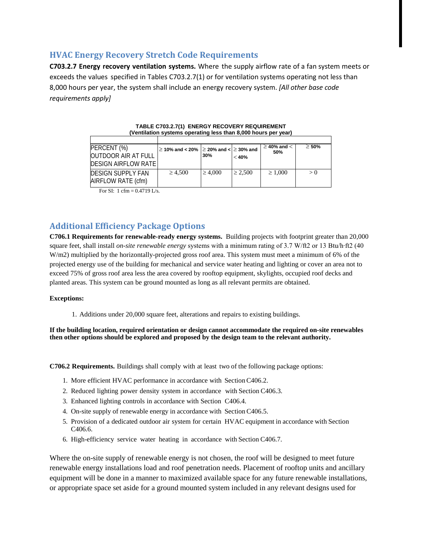## **HVAC Energy Recovery Stretch Code Requirements**

**C703.2.7 Energy recovery ventilation systems.** Where the supply airflow rate of a fan system meets or exceeds the values specified in Tables C703.2.7(1) or for ventilation systems operating not less than 8,000 hours per year, the system shall include an energy recovery system. *[All other base code requirements apply]*

| <u>venination systems operating ress than 0,000 nours per year</u>                                                                                                                                                                                                                                                                                                                                                                                                                         |                                                      |              |              |                    |            |  |
|--------------------------------------------------------------------------------------------------------------------------------------------------------------------------------------------------------------------------------------------------------------------------------------------------------------------------------------------------------------------------------------------------------------------------------------------------------------------------------------------|------------------------------------------------------|--------------|--------------|--------------------|------------|--|
|                                                                                                                                                                                                                                                                                                                                                                                                                                                                                            |                                                      |              |              |                    |            |  |
| PERCENT (%)                                                                                                                                                                                                                                                                                                                                                                                                                                                                                | $\geq$ 10% and < 20% $\geq$ 20% and < $\geq$ 30% and |              |              | $\geq$ 40% and $<$ | $\geq$ 50% |  |
| <b>OUTDOOR AIR AT FULL</b>                                                                                                                                                                                                                                                                                                                                                                                                                                                                 |                                                      | 30%          | $<$ 40%      | 50%                |            |  |
| <b>DESIGN AIRFLOW RATE</b>                                                                                                                                                                                                                                                                                                                                                                                                                                                                 |                                                      |              |              |                    |            |  |
| <b>IDESIGN SUPPLY FAN</b><br>AIRFLOW RATE (cfm)                                                                                                                                                                                                                                                                                                                                                                                                                                            | $\geq 4,500$                                         | $\geq 4.000$ | $\geq 2.500$ | $\geq 1.000$       | > 0        |  |
| $\blacksquare$ $\blacksquare$ $\blacksquare$ $\blacksquare$ $\blacksquare$ $\blacksquare$ $\blacksquare$ $\blacksquare$ $\blacksquare$ $\blacksquare$ $\blacksquare$ $\blacksquare$ $\blacksquare$ $\blacksquare$ $\blacksquare$ $\blacksquare$ $\blacksquare$ $\blacksquare$ $\blacksquare$ $\blacksquare$ $\blacksquare$ $\blacksquare$ $\blacksquare$ $\blacksquare$ $\blacksquare$ $\blacksquare$ $\blacksquare$ $\blacksquare$ $\blacksquare$ $\blacksquare$ $\blacksquare$ $\blacks$ |                                                      |              |              |                    |            |  |

**TABLE C703.2.7(1) ENERGY RECOVERY REQUIREMENT (Ventilation systems operating less than 8,000 hours per year)**

For SI: 1 cfm =  $0.4719$  L/s.

## <span id="page-7-0"></span>**Additional Efficiency Package Options**

**C706.1 Requirements for renewable-ready energy systems.** Building projects with footprint greater than 20,000 square feet, shall install *on-site renewable energy* systems with a minimum rating of 3.7 W/ft2 or 13 Btu/h⋅ft2 (40 W/m2) multiplied by the horizontally-projected gross roof area. This system must meet a minimum of 6% of the projected energy use of the building for mechanical and service water heating and lighting or cover an area not to exceed 75% of gross roof area less the area covered by rooftop equipment, skylights, occupied roof decks and planted areas. This system can be ground mounted as long as all relevant permits are obtained.

#### **Exceptions:**

1. Additions under 20,000 square feet, alterations and repairs to existing buildings.

**If the building location, required orientation or design cannot accommodate the required on-site renewables then other options should be explored and proposed by the design team to the relevant authority.**

**C706.2 Requirements.** Buildings shall comply with at least two of the following package options:

- 1. More efficient HVAC performance in accordance with SectionC406.2.
- 2. Reduced lighting power density system in accordance with Section C406.3.
- 3. Enhanced lighting controls in accordance with Section C406.4.
- 4. On-site supply of renewable energy in accordance with SectionC406.5.
- 5. Provision of a dedicated outdoor air system for certain HVAC equipment in accordance with Section C406.6.
- 6. High-efficiency service water heating in accordance with Section C406.7.

Where the on-site supply of renewable energy is not chosen, the roof will be designed to meet future renewable energy installations load and roof penetration needs. Placement of rooftop units and ancillary equipment will be done in a manner to maximized available space for any future renewable installations, or appropriate space set aside for a ground mounted system included in any relevant designs used for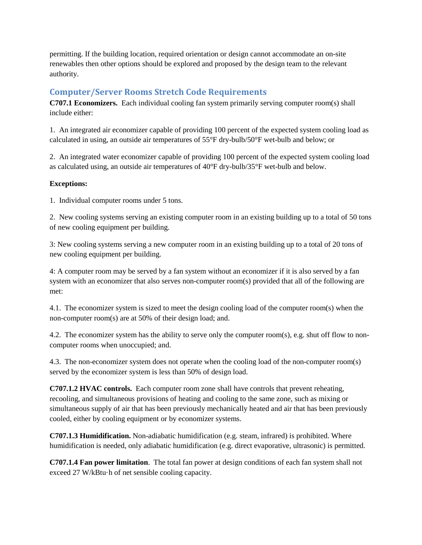permitting. If the building location, required orientation or design cannot accommodate an on-site renewables then other options should be explored and proposed by the design team to the relevant authority.

## <span id="page-8-0"></span>**Computer/Server Rooms Stretch Code Requirements**

**C707.1 Economizers.** Each individual cooling fan system primarily serving computer room(s) shall include either:

1. An integrated air economizer capable of providing 100 percent of the expected system cooling load as calculated in using, an outside air temperatures of 55°F dry-bulb/50°F wet-bulb and below; or

2. An integrated water economizer capable of providing 100 percent of the expected system cooling load as calculated using, an outside air temperatures of 40°F dry-bulb/35°F wet-bulb and below.

#### **Exceptions:**

1. Individual computer rooms under 5 tons.

2. New cooling systems serving an existing computer room in an existing building up to a total of 50 tons of new cooling equipment per building.

3: New cooling systems serving a new computer room in an existing building up to a total of 20 tons of new cooling equipment per building.

4: A computer room may be served by a fan system without an economizer if it is also served by a fan system with an economizer that also serves non-computer room(s) provided that all of the following are met:

4.1. The economizer system is sized to meet the design cooling load of the computer room(s) when the non-computer room(s) are at 50% of their design load; and.

4.2. The economizer system has the ability to serve only the computer room(s), e.g. shut off flow to noncomputer rooms when unoccupied; and.

4.3. The non-economizer system does not operate when the cooling load of the non-computer room(s) served by the economizer system is less than 50% of design load.

**C707.1.2 HVAC controls.** Each computer room zone shall have controls that prevent reheating, recooling, and simultaneous provisions of heating and cooling to the same zone, such as mixing or simultaneous supply of air that has been previously mechanically heated and air that has been previously cooled, either by cooling equipment or by economizer systems.

**C707.1.3 Humidification.** Non-adiabatic humidification (e.g. steam, infrared) is prohibited. Where humidification is needed, only adiabatic humidification (e.g. direct evaporative, ultrasonic) is permitted.

**C707.1.4 Fan power limitation**. The total fan power at design conditions of each fan system shall not exceed 27 W/kBtu·h of net sensible cooling capacity.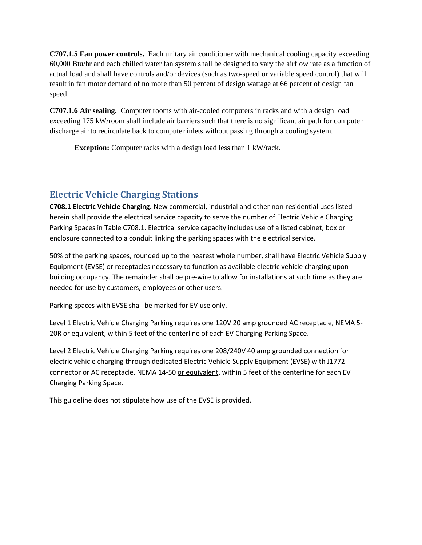**C707.1.5 Fan power controls.** Each unitary air conditioner with mechanical cooling capacity exceeding 60,000 Btu/hr and each chilled water fan system shall be designed to vary the airflow rate as a function of actual load and shall have controls and/or devices (such as two-speed or variable speed control) that will result in fan motor demand of no more than 50 percent of design wattage at 66 percent of design fan speed.

**C707.1.6 Air sealing.** Computer rooms with air-cooled computers in racks and with a design load exceeding 175 kW/room shall include air barriers such that there is no significant air path for computer discharge air to recirculate back to computer inlets without passing through a cooling system.

**Exception:** Computer racks with a design load less than 1 kW/rack.

## <span id="page-9-0"></span>**Electric Vehicle Charging Stations**

**C708.1 Electric Vehicle Charging.** New commercial, industrial and other non-residential uses listed herein shall provide the electrical service capacity to serve the number of Electric Vehicle Charging Parking Spaces in Table C708.1. Electrical service capacity includes use of a listed cabinet, box or enclosure connected to a conduit linking the parking spaces with the electrical service.

50% of the parking spaces, rounded up to the nearest whole number, shall have Electric Vehicle Supply Equipment (EVSE) or receptacles necessary to function as available electric vehicle charging upon building occupancy. The remainder shall be pre-wire to allow for installations at such time as they are needed for use by customers, employees or other users.

Parking spaces with EVSE shall be marked for EV use only.

Level 1 Electric Vehicle Charging Parking requires one 120V 20 amp grounded AC receptacle, NEMA 5- 20R or equivalent, within 5 feet of the centerline of each EV Charging Parking Space.

Level 2 Electric Vehicle Charging Parking requires one 208/240V 40 amp grounded connection for electric vehicle charging through dedicated Electric Vehicle Supply Equipment (EVSE) with J1772 connector or AC receptacle, NEMA 14-50 or equivalent, within 5 feet of the centerline for each EV Charging Parking Space.

This guideline does not stipulate how use of the EVSE is provided.